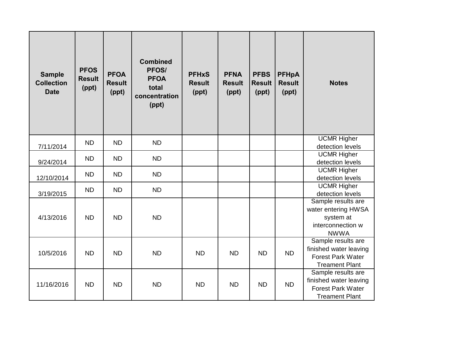| <b>Sample</b><br><b>Collection</b><br><b>Date</b> | <b>PFOS</b><br><b>Result</b><br>(ppt) | <b>PFOA</b><br><b>Result</b><br>(ppt) | <b>Combined</b><br>PFOS/<br><b>PFOA</b><br>total<br>concentration<br>(ppt) | <b>PFHxS</b><br><b>Result</b><br>(ppt) | <b>PFNA</b><br><b>Result</b><br>(ppt) | <b>PFBS</b><br><b>Result</b><br>(ppt) | <b>PFHpA</b><br><b>Result</b><br>(ppt) | <b>Notes</b>                                                                                      |
|---------------------------------------------------|---------------------------------------|---------------------------------------|----------------------------------------------------------------------------|----------------------------------------|---------------------------------------|---------------------------------------|----------------------------------------|---------------------------------------------------------------------------------------------------|
| 7/11/2014                                         | <b>ND</b>                             | <b>ND</b>                             | <b>ND</b>                                                                  |                                        |                                       |                                       |                                        | <b>UCMR Higher</b><br>detection levels                                                            |
| 9/24/2014                                         | <b>ND</b>                             | <b>ND</b>                             | <b>ND</b>                                                                  |                                        |                                       |                                       |                                        | <b>UCMR Higher</b><br>detection levels                                                            |
| 12/10/2014                                        | <b>ND</b>                             | <b>ND</b>                             | <b>ND</b>                                                                  |                                        |                                       |                                       |                                        | <b>UCMR Higher</b><br>detection levels                                                            |
| 3/19/2015                                         | <b>ND</b>                             | <b>ND</b>                             | <b>ND</b>                                                                  |                                        |                                       |                                       |                                        | <b>UCMR Higher</b><br>detection levels                                                            |
| 4/13/2016                                         | <b>ND</b>                             | <b>ND</b>                             | <b>ND</b>                                                                  |                                        |                                       |                                       |                                        | Sample results are<br>water entering HWSA<br>system at<br>interconnection w<br><b>NWWA</b>        |
| 10/5/2016                                         | <b>ND</b>                             | <b>ND</b>                             | <b>ND</b>                                                                  | <b>ND</b>                              | <b>ND</b>                             | <b>ND</b>                             | <b>ND</b>                              | Sample results are<br>finished water leaving<br><b>Forest Park Water</b><br><b>Treament Plant</b> |
| 11/16/2016                                        | <b>ND</b>                             | <b>ND</b>                             | <b>ND</b>                                                                  | <b>ND</b>                              | <b>ND</b>                             | <b>ND</b>                             | <b>ND</b>                              | Sample results are<br>finished water leaving<br><b>Forest Park Water</b><br><b>Treament Plant</b> |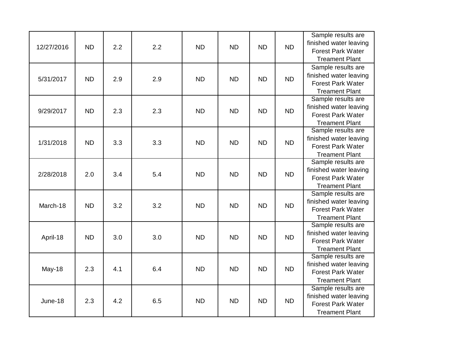| 12/27/2016 | <b>ND</b> | 2.2 | 2.2 | <b>ND</b> | <b>ND</b> | <b>ND</b> | <b>ND</b> | Sample results are<br>finished water leaving<br><b>Forest Park Water</b><br><b>Treament Plant</b> |
|------------|-----------|-----|-----|-----------|-----------|-----------|-----------|---------------------------------------------------------------------------------------------------|
| 5/31/2017  | <b>ND</b> | 2.9 | 2.9 | <b>ND</b> | <b>ND</b> | <b>ND</b> | <b>ND</b> | Sample results are<br>finished water leaving<br><b>Forest Park Water</b><br><b>Treament Plant</b> |
| 9/29/2017  | <b>ND</b> | 2.3 | 2.3 | <b>ND</b> | <b>ND</b> | <b>ND</b> | <b>ND</b> | Sample results are<br>finished water leaving<br><b>Forest Park Water</b><br><b>Treament Plant</b> |
| 1/31/2018  | <b>ND</b> | 3.3 | 3.3 | <b>ND</b> | <b>ND</b> | <b>ND</b> | <b>ND</b> | Sample results are<br>finished water leaving<br><b>Forest Park Water</b><br><b>Treament Plant</b> |
| 2/28/2018  | 2.0       | 3.4 | 5.4 | <b>ND</b> | <b>ND</b> | <b>ND</b> | <b>ND</b> | Sample results are<br>finished water leaving<br><b>Forest Park Water</b><br><b>Treament Plant</b> |
| March-18   | <b>ND</b> | 3.2 | 3.2 | <b>ND</b> | <b>ND</b> | <b>ND</b> | <b>ND</b> | Sample results are<br>finished water leaving<br><b>Forest Park Water</b><br><b>Treament Plant</b> |
| April-18   | <b>ND</b> | 3.0 | 3.0 | <b>ND</b> | <b>ND</b> | <b>ND</b> | <b>ND</b> | Sample results are<br>finished water leaving<br><b>Forest Park Water</b><br><b>Treament Plant</b> |
| May-18     | 2.3       | 4.1 | 6.4 | <b>ND</b> | <b>ND</b> | <b>ND</b> | <b>ND</b> | Sample results are<br>finished water leaving<br><b>Forest Park Water</b><br><b>Treament Plant</b> |
| June-18    | 2.3       | 4.2 | 6.5 | <b>ND</b> | <b>ND</b> | <b>ND</b> | <b>ND</b> | Sample results are<br>finished water leaving<br><b>Forest Park Water</b><br><b>Treament Plant</b> |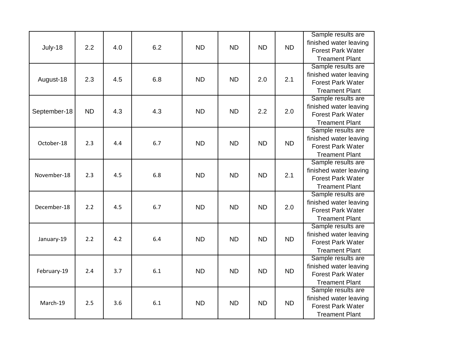| July-18      | 2.2       | 4.0 | 6.2 | <b>ND</b> | <b>ND</b> | <b>ND</b> | <b>ND</b> | Sample results are<br>finished water leaving<br><b>Forest Park Water</b><br><b>Treament Plant</b> |
|--------------|-----------|-----|-----|-----------|-----------|-----------|-----------|---------------------------------------------------------------------------------------------------|
| August-18    | 2.3       | 4.5 | 6.8 | <b>ND</b> | <b>ND</b> | 2.0       | 2.1       | Sample results are<br>finished water leaving<br><b>Forest Park Water</b><br><b>Treament Plant</b> |
| September-18 | <b>ND</b> | 4.3 | 4.3 | <b>ND</b> | <b>ND</b> | 2.2       | 2.0       | Sample results are<br>finished water leaving<br><b>Forest Park Water</b><br><b>Treament Plant</b> |
| October-18   | 2.3       | 4.4 | 6.7 | <b>ND</b> | <b>ND</b> | <b>ND</b> | <b>ND</b> | Sample results are<br>finished water leaving<br><b>Forest Park Water</b><br><b>Treament Plant</b> |
| November-18  | 2.3       | 4.5 | 6.8 | <b>ND</b> | <b>ND</b> | <b>ND</b> | 2.1       | Sample results are<br>finished water leaving<br><b>Forest Park Water</b><br><b>Treament Plant</b> |
| December-18  | 2.2       | 4.5 | 6.7 | <b>ND</b> | <b>ND</b> | <b>ND</b> | 2.0       | Sample results are<br>finished water leaving<br><b>Forest Park Water</b><br><b>Treament Plant</b> |
| January-19   | 2.2       | 4.2 | 6.4 | <b>ND</b> | <b>ND</b> | <b>ND</b> | <b>ND</b> | Sample results are<br>finished water leaving<br><b>Forest Park Water</b><br><b>Treament Plant</b> |
| February-19  | 2.4       | 3.7 | 6.1 | <b>ND</b> | <b>ND</b> | <b>ND</b> | <b>ND</b> | Sample results are<br>finished water leaving<br><b>Forest Park Water</b><br><b>Treament Plant</b> |
| March-19     | 2.5       | 3.6 | 6.1 | <b>ND</b> | <b>ND</b> | <b>ND</b> | <b>ND</b> | Sample results are<br>finished water leaving<br><b>Forest Park Water</b><br><b>Treament Plant</b> |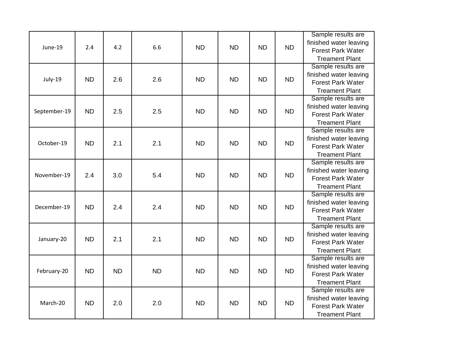| June-19      | 2.4       | 4.2       | 6.6       | <b>ND</b> | <b>ND</b> | <b>ND</b> | <b>ND</b> | Sample results are<br>finished water leaving<br><b>Forest Park Water</b><br><b>Treament Plant</b> |
|--------------|-----------|-----------|-----------|-----------|-----------|-----------|-----------|---------------------------------------------------------------------------------------------------|
| July-19      | <b>ND</b> | 2.6       | 2.6       | <b>ND</b> | <b>ND</b> | <b>ND</b> | <b>ND</b> | Sample results are<br>finished water leaving<br><b>Forest Park Water</b><br><b>Treament Plant</b> |
| September-19 | <b>ND</b> | 2.5       | 2.5       | <b>ND</b> | <b>ND</b> | <b>ND</b> | <b>ND</b> | Sample results are<br>finished water leaving<br><b>Forest Park Water</b><br><b>Treament Plant</b> |
| October-19   | <b>ND</b> | 2.1       | 2.1       | <b>ND</b> | <b>ND</b> | <b>ND</b> | <b>ND</b> | Sample results are<br>finished water leaving<br><b>Forest Park Water</b><br><b>Treament Plant</b> |
| November-19  | 2.4       | 3.0       | 5.4       | <b>ND</b> | <b>ND</b> | <b>ND</b> | <b>ND</b> | Sample results are<br>finished water leaving<br><b>Forest Park Water</b><br><b>Treament Plant</b> |
| December-19  | <b>ND</b> | 2.4       | 2.4       | <b>ND</b> | <b>ND</b> | <b>ND</b> | <b>ND</b> | Sample results are<br>finished water leaving<br><b>Forest Park Water</b><br><b>Treament Plant</b> |
| January-20   | <b>ND</b> | 2.1       | 2.1       | <b>ND</b> | <b>ND</b> | <b>ND</b> | <b>ND</b> | Sample results are<br>finished water leaving<br><b>Forest Park Water</b><br><b>Treament Plant</b> |
| February-20  | <b>ND</b> | <b>ND</b> | <b>ND</b> | <b>ND</b> | <b>ND</b> | <b>ND</b> | <b>ND</b> | Sample results are<br>finished water leaving<br><b>Forest Park Water</b><br><b>Treament Plant</b> |
| March-20     | <b>ND</b> | 2.0       | 2.0       | <b>ND</b> | <b>ND</b> | <b>ND</b> | <b>ND</b> | Sample results are<br>finished water leaving<br><b>Forest Park Water</b><br><b>Treament Plant</b> |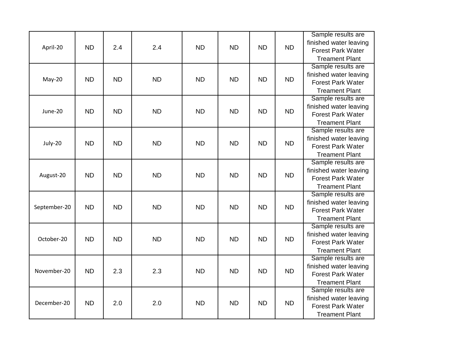| April-20     | <b>ND</b> | 2.4       | 2.4       | <b>ND</b> | <b>ND</b> | <b>ND</b> | <b>ND</b> | Sample results are<br>finished water leaving<br><b>Forest Park Water</b><br><b>Treament Plant</b> |
|--------------|-----------|-----------|-----------|-----------|-----------|-----------|-----------|---------------------------------------------------------------------------------------------------|
| May-20       | <b>ND</b> | <b>ND</b> | <b>ND</b> | <b>ND</b> | <b>ND</b> | <b>ND</b> | <b>ND</b> | Sample results are<br>finished water leaving<br><b>Forest Park Water</b><br><b>Treament Plant</b> |
| June-20      | <b>ND</b> | <b>ND</b> | <b>ND</b> | <b>ND</b> | <b>ND</b> | <b>ND</b> | <b>ND</b> | Sample results are<br>finished water leaving<br><b>Forest Park Water</b><br><b>Treament Plant</b> |
| July-20      | <b>ND</b> | <b>ND</b> | <b>ND</b> | <b>ND</b> | <b>ND</b> | <b>ND</b> | <b>ND</b> | Sample results are<br>finished water leaving<br><b>Forest Park Water</b><br><b>Treament Plant</b> |
| August-20    | <b>ND</b> | <b>ND</b> | <b>ND</b> | <b>ND</b> | <b>ND</b> | <b>ND</b> | <b>ND</b> | Sample results are<br>finished water leaving<br><b>Forest Park Water</b><br><b>Treament Plant</b> |
| September-20 | <b>ND</b> | <b>ND</b> | <b>ND</b> | <b>ND</b> | <b>ND</b> | <b>ND</b> | <b>ND</b> | Sample results are<br>finished water leaving<br><b>Forest Park Water</b><br><b>Treament Plant</b> |
| October-20   | <b>ND</b> | <b>ND</b> | <b>ND</b> | <b>ND</b> | <b>ND</b> | <b>ND</b> | <b>ND</b> | Sample results are<br>finished water leaving<br><b>Forest Park Water</b><br><b>Treament Plant</b> |
| November-20  | <b>ND</b> | 2.3       | 2.3       | <b>ND</b> | <b>ND</b> | <b>ND</b> | <b>ND</b> | Sample results are<br>finished water leaving<br><b>Forest Park Water</b><br><b>Treament Plant</b> |
| December-20  | <b>ND</b> | 2.0       | 2.0       | <b>ND</b> | <b>ND</b> | <b>ND</b> | <b>ND</b> | Sample results are<br>finished water leaving<br><b>Forest Park Water</b><br><b>Treament Plant</b> |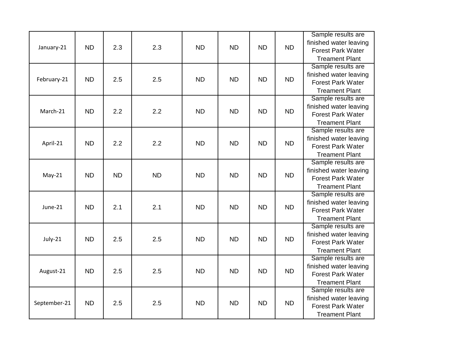| January-21   | <b>ND</b> | 2.3       | 2.3       | <b>ND</b> | <b>ND</b> | <b>ND</b> | <b>ND</b> | Sample results are<br>finished water leaving<br><b>Forest Park Water</b><br><b>Treament Plant</b> |
|--------------|-----------|-----------|-----------|-----------|-----------|-----------|-----------|---------------------------------------------------------------------------------------------------|
| February-21  | <b>ND</b> | 2.5       | 2.5       | <b>ND</b> | <b>ND</b> | <b>ND</b> | <b>ND</b> | Sample results are<br>finished water leaving<br><b>Forest Park Water</b><br><b>Treament Plant</b> |
| March-21     | <b>ND</b> | 2.2       | 2.2       | <b>ND</b> | <b>ND</b> | <b>ND</b> | <b>ND</b> | Sample results are<br>finished water leaving<br><b>Forest Park Water</b><br><b>Treament Plant</b> |
| April-21     | <b>ND</b> | 2.2       | 2.2       | <b>ND</b> | <b>ND</b> | <b>ND</b> | <b>ND</b> | Sample results are<br>finished water leaving<br><b>Forest Park Water</b><br><b>Treament Plant</b> |
| $May-21$     | <b>ND</b> | <b>ND</b> | <b>ND</b> | <b>ND</b> | <b>ND</b> | <b>ND</b> | <b>ND</b> | Sample results are<br>finished water leaving<br><b>Forest Park Water</b><br><b>Treament Plant</b> |
| June-21      | <b>ND</b> | 2.1       | 2.1       | <b>ND</b> | <b>ND</b> | <b>ND</b> | <b>ND</b> | Sample results are<br>finished water leaving<br><b>Forest Park Water</b><br><b>Treament Plant</b> |
| July-21      | <b>ND</b> | 2.5       | 2.5       | <b>ND</b> | <b>ND</b> | <b>ND</b> | <b>ND</b> | Sample results are<br>finished water leaving<br><b>Forest Park Water</b><br><b>Treament Plant</b> |
| August-21    | <b>ND</b> | 2.5       | 2.5       | <b>ND</b> | <b>ND</b> | <b>ND</b> | <b>ND</b> | Sample results are<br>finished water leaving<br><b>Forest Park Water</b><br><b>Treament Plant</b> |
| September-21 | <b>ND</b> | 2.5       | 2.5       | <b>ND</b> | <b>ND</b> | <b>ND</b> | <b>ND</b> | Sample results are<br>finished water leaving<br><b>Forest Park Water</b><br><b>Treament Plant</b> |